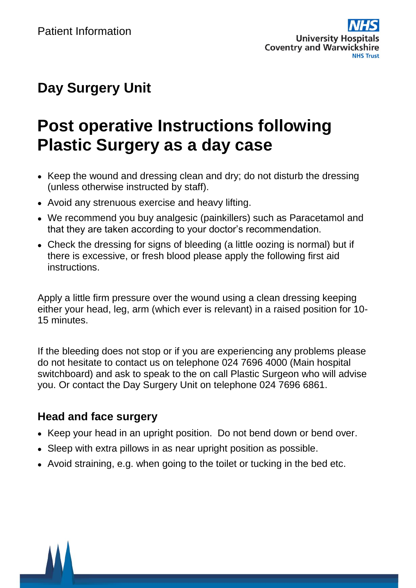## **Day Surgery Unit**

# **Post operative Instructions following Plastic Surgery as a day case**

- Keep the wound and dressing clean and dry; do not disturb the dressing (unless otherwise instructed by staff).
- Avoid any strenuous exercise and heavy lifting.
- We recommend you buy analgesic (painkillers) such as Paracetamol and that they are taken according to your doctor's recommendation.
- Check the dressing for signs of bleeding (a little oozing is normal) but if there is excessive, or fresh blood please apply the following first aid instructions.

Apply a little firm pressure over the wound using a clean dressing keeping either your head, leg, arm (which ever is relevant) in a raised position for 10- 15 minutes.

If the bleeding does not stop or if you are experiencing any problems please do not hesitate to contact us on telephone 024 7696 4000 (Main hospital switchboard) and ask to speak to the on call Plastic Surgeon who will advise you. Or contact the Day Surgery Unit on telephone 024 7696 6861.

### **Head and face surgery**

- Keep your head in an upright position. Do not bend down or bend over.
- Sleep with extra pillows in as near upright position as possible.
- Avoid straining, e.g. when going to the toilet or tucking in the bed etc.